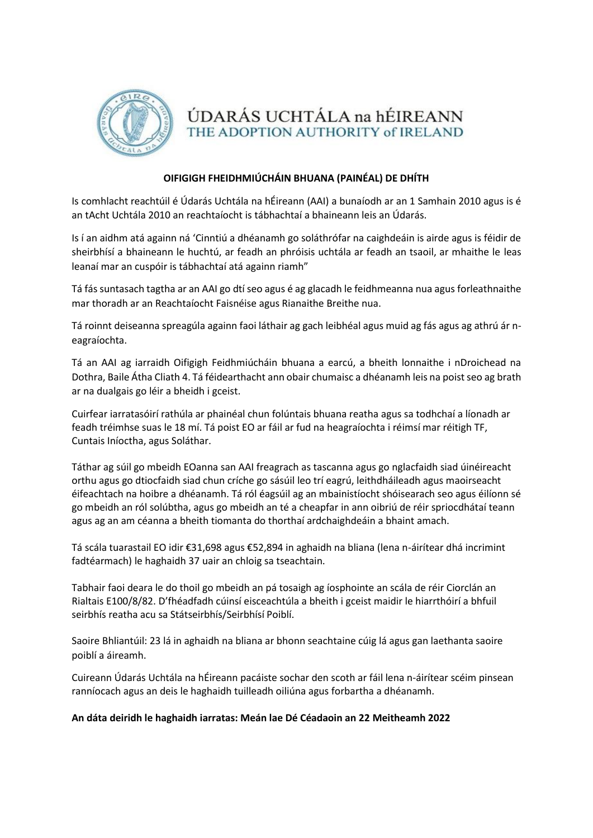

ÚDARÁS UCHTÁLA na hÉIREANN THE ADOPTION AUTHORITY of IRELAND

## **OIFIGIGH FHEIDHMIÚCHÁIN BHUANA (PAINÉAL) DE DHÍTH**

Is comhlacht reachtúil é Údarás Uchtála na hÉireann (AAI) a bunaíodh ar an 1 Samhain 2010 agus is é an tAcht Uchtála 2010 an reachtaíocht is tábhachtaí a bhaineann leis an Údarás.

Is í an aidhm atá againn ná 'Cinntiú a dhéanamh go soláthrófar na caighdeáin is airde agus is féidir de sheirbhísí a bhaineann le huchtú, ar feadh an phróisis uchtála ar feadh an tsaoil, ar mhaithe le leas leanaí mar an cuspóir is tábhachtaí atá againn riamh"

Tá fás suntasach tagtha ar an AAI go dtí seo agus é ag glacadh le feidhmeanna nua agus forleathnaithe mar thoradh ar an Reachtaíocht Faisnéise agus Rianaithe Breithe nua.

Tá roinnt deiseanna spreagúla againn faoi láthair ag gach leibhéal agus muid ag fás agus ag athrú ár neagraíochta.

Tá an AAI ag iarraidh Oifigigh Feidhmiúcháin bhuana a earcú, a bheith lonnaithe i nDroichead na Dothra, Baile Átha Cliath 4. Tá féidearthacht ann obair chumaisc a dhéanamh leis na poist seo ag brath ar na dualgais go léir a bheidh i gceist.

Cuirfear iarratasóirí rathúla ar phainéal chun folúntais bhuana reatha agus sa todhchaí a líonadh ar feadh tréimhse suas le 18 mí. Tá poist EO ar fáil ar fud na heagraíochta i réimsí mar réitigh TF, Cuntais Iníoctha, agus Soláthar.

Táthar ag súil go mbeidh EOanna san AAI freagrach as tascanna agus go nglacfaidh siad úinéireacht orthu agus go dtiocfaidh siad chun críche go sásúil leo trí eagrú, leithdháileadh agus maoirseacht éifeachtach na hoibre a dhéanamh. Tá ról éagsúil ag an mbainistíocht shóisearach seo agus éilíonn sé go mbeidh an ról solúbtha, agus go mbeidh an té a cheapfar in ann oibriú de réir spriocdhátaí teann agus ag an am céanna a bheith tiomanta do thorthaí ardchaighdeáin a bhaint amach.

Tá scála tuarastail EO idir €31,698 agus €52,894 in aghaidh na bliana (lena n-áirítear dhá incrimint fadtéarmach) le haghaidh 37 uair an chloig sa tseachtain.

Tabhair faoi deara le do thoil go mbeidh an pá tosaigh ag íosphointe an scála de réir Ciorclán an Rialtais E100/8/82. D'fhéadfadh cúinsí eisceachtúla a bheith i gceist maidir le hiarrthóirí a bhfuil seirbhís reatha acu sa Státseirbhís/Seirbhísí Poiblí.

Saoire Bhliantúil: 23 lá in aghaidh na bliana ar bhonn seachtaine cúig lá agus gan laethanta saoire poiblí a áireamh.

Cuireann Údarás Uchtála na hÉireann pacáiste sochar den scoth ar fáil lena n-áirítear scéim pinsean ranníocach agus an deis le haghaidh tuilleadh oiliúna agus forbartha a dhéanamh.

## **An dáta deiridh le haghaidh iarratas: Meán lae Dé Céadaoin an 22 Meitheamh 2022**